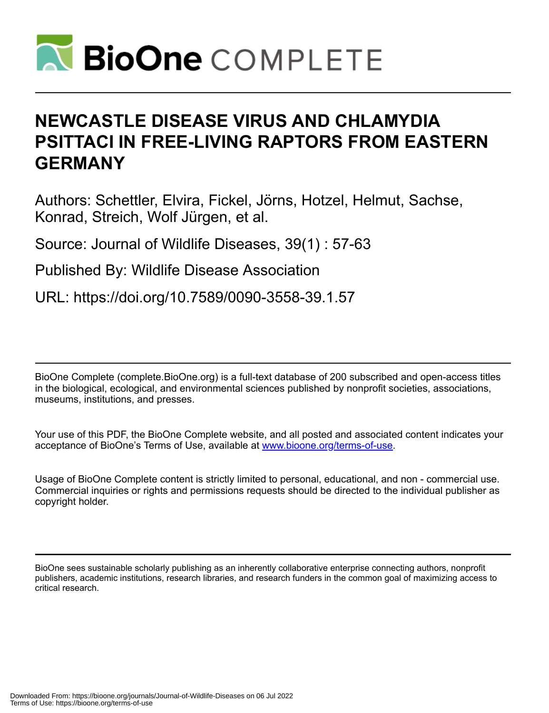

# **NEWCASTLE DISEASE VIRUS AND CHLAMYDIA PSITTACI IN FREE-LIVING RAPTORS FROM EASTERN GERMANY**

Authors: Schettler, Elvira, Fickel, Jörns, Hotzel, Helmut, Sachse, Konrad, Streich, Wolf Jürgen, et al.

Source: Journal of Wildlife Diseases, 39(1) : 57-63

Published By: Wildlife Disease Association

URL: https://doi.org/10.7589/0090-3558-39.1.57

BioOne Complete (complete.BioOne.org) is a full-text database of 200 subscribed and open-access titles in the biological, ecological, and environmental sciences published by nonprofit societies, associations, museums, institutions, and presses.

Your use of this PDF, the BioOne Complete website, and all posted and associated content indicates your acceptance of BioOne's Terms of Use, available at www.bioone.org/terms-of-use.

Usage of BioOne Complete content is strictly limited to personal, educational, and non - commercial use. Commercial inquiries or rights and permissions requests should be directed to the individual publisher as copyright holder.

BioOne sees sustainable scholarly publishing as an inherently collaborative enterprise connecting authors, nonprofit publishers, academic institutions, research libraries, and research funders in the common goal of maximizing access to critical research.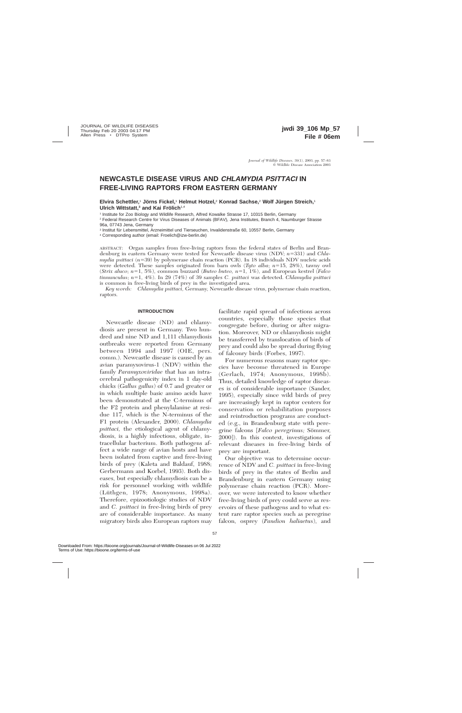# **NEWCASTLE DISEASE VIRUS AND CHLAMYDIA PSITTACI IN FREE-LIVING RAPTORS FROM EASTERN GERMANY**

**Elvira Schettler,<sup>1</sup> Jörns Fickel,<sup>1</sup> Helmut Hotzel,<sup>2</sup> Konrad Sachse,<sup>2</sup> Wolf Jürgen Streich,<sup>1</sup> Ulrich Wittstatt,<sup>3</sup> and Kai Frölich<sup>1,4</sup>** 

<sup>1</sup> Institute for Zoo Biology and Wildlife Research, Alfred Kowalke Strasse 17, 10315 Berlin, Germany

<sup>2</sup> Federal Research Centre for Virus Diseases of Animals (BFAV), Jena Institutes, Branch 4, Naumburger Strasse 96a, 07743 Jena, Germany

<sup>3</sup> Institut für Lebensmittel, Arzneimittel und Tierseuchen, Invalidenstraße 60, 10557 Berlin, Germany

<sup>4</sup> Corresponding author (email: Froelich@izw-berlin.de)

ABSTRACT: Organ samples from free-living raptors from the federal states of Berlin and Brandenburg in eastern Germany were tested for Newcastle disease virus (NDV; *n*5331) and *Chlamydia psittaci* (*n*539) by polymerase chain reaction (PCR). In 18 individuals NDV nucleic acids were detected. These samples originated from barn owls (*Tyto alba*;  $n=15$ , 28%), tawny owl (*Strix aluco*; *n*51, 5%), common buzzard (*Buteo buteo, n*51, 1%), and European kestrel (*Falco tinnunculus*; *n*51, 4%). In 29 (74%) of 39 samples *C. psittaci* was detected. *Chlamydia psittaci* is common in free-living birds of prey in the investigated area.

*Key words: Chlamydia psittaci,* Germany, Newcastle disease virus, polymerase chain reaction, raptors.

#### **INTRODUCTION**

Newcastle disease (ND) and chlamydiosis are present in Germany. Two hundred and nine ND and 1,111 chlamydiosis outbreaks were reported from Germany between 1994 and 1997 (OIE, pers. comm.). Newcastle disease is caused by an avian paramyxovirus-1 (NDV) within the family *Paramyxoviridae* that has an intracerebral pathogenicity index in 1 day-old chicks (*Gallus gallus*) of 0.7 and greater or in which multiple basic amino acids have been demonstrated at the C-terminus of the F2 protein and phenylalanine at residue 117, which is the N-terminus of the F1 protein (Alexander, 2000). *Chlamydia psittaci,* the etiological agent of chlamydiosis, is a highly infectious, obligate, intracellular bacterium. Both pathogens affect a wide range of avian hosts and have been isolated from captive and free-living birds of prey (Kaleta and Baldauf, 1988; Gerbermann and Korbel, 1993). Both diseases, but especially chlamydiosis can be a risk for personnel working with wildlife  $(Lüthgen, 1978; Anonymous, 1998a).$ Therefore, epizootiologic studies of NDV and *C. psittaci* in free-living birds of prey are of considerable importance. As many migratory birds also European raptors may

facilitate rapid spread of infections across countries, especially those species that congregate before, during or after migration. Moreover, ND or chlamydiosis might be transferred by translocation of birds of prey and could also be spread during flying of falconry birds (Forbes, 1997).

For numerous reasons many raptor species have become threatened in Europe (Gerlach, 1974; Anonymous, 1998b). Thus, detailed knowledge of raptor diseases is of considerable importance (Sander, 1995), especially since wild birds of prey are increasingly kept in raptor centers for conservation or rehabilitation purposes and reintroduction programs are conducted (e.g., in Brandenburg state with peregrine falcons [*Falco peregrinus*; Sömmer, 2000]). In this context, investigations of relevant diseases in free-living birds of prey are important.

Our objective was to determine occurrence of NDV and *C. psittaci* in free-living birds of prey in the states of Berlin and Brandenburg in eastern Germany using polymerase chain reaction (PCR). Moreover, we were interested to know whether free-living birds of prey could serve as reservoirs of these pathogens and to what extent rare raptor species such as peregrine falcon, osprey (*Pandion haliaetus*), and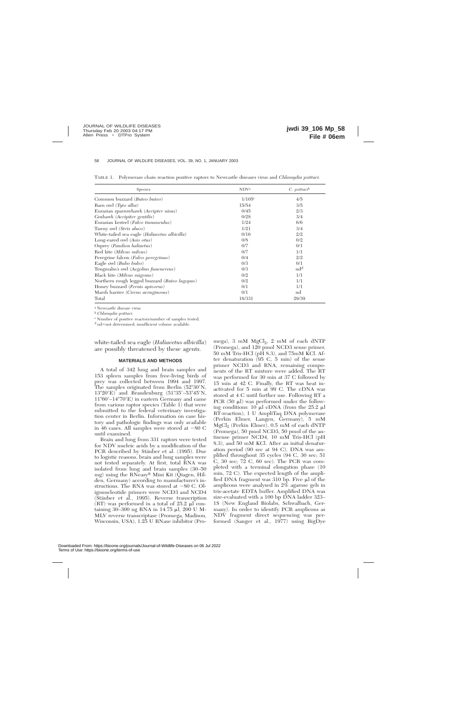| Species                                       | NDV <sup>a</sup>     | $C.$ psittaci <sup>b</sup> |
|-----------------------------------------------|----------------------|----------------------------|
| Common buzzard ( <i>Buteo buteo</i> )         | $1/105$ <sup>c</sup> | 4/5                        |
| Barn owl $(Tyto \text{ alba})$                | 15/54                | 3/5                        |
| Eurasian sparrowhawk (Accipter nisus)         | 0/45                 | 2/3                        |
| Goshawk (Accipiter gentilis)                  | 0/28                 | 3/4                        |
| Eurasian kestrel (Falco tinnunculus)          | 1/24                 | 6/6                        |
| Tawny owl (Strix aluco)                       | 1/21                 | 3/4                        |
| White-tailed sea eagle (Haliaeetus albicilla) | 0/16                 | 2/2                        |
| Long-eared owl (Asio otus)                    | 0/8                  | 0/2                        |
| Osprey (Pandion haliaetus)                    | 0/7                  | 0/1                        |
| Red kite (Milvus milvus)                      | 0/7                  | 1/1                        |
| Peregrine falcon (Falco peregrinus)           | 0/4                  | 2/2                        |
| Eagle owl (Bubo bubo)                         | 0/3                  | 0/1                        |
| Tengmalm's owl (Aegolius funenereus)          | 0/3                  | nd <sup>d</sup>            |
| Black kite (Milvus migrans)                   | 0/2                  | 1/1                        |
| Northern rough legged buzzard (Buteo lagopus) | 0/2                  | 1/1                        |
| Honey buzzard (Pernis apivorus)               | 0/1                  | 1/1                        |
| Marsh harrier (Circus aeruginosus)            | 0/1                  | $^{\rm nd}$                |
| Total                                         | 18/331               | 29/39                      |

TABLE 1. Polymerase chain reaction positive raptors to Newcastle diseases virus and *Chlamydia psittaci.*

<sup>a</sup> Newcastle disease virus.

<sup>b</sup> *Chlamydia psittaci.*

<sup>c</sup> Number of positive reactors/number of samples tested.

 $d$  nd=not determined, insufficient volume available.

white-tailed sea eagle (*Haliaeetus albicilla*) are possibly threatened by these agents.

#### **MATERIALS AND METHODS**

A total of 342 lung and brain samples and 153 spleen samples from free-living birds of prey was collected between 1994 and 1997. The samples originated from Berlin  $(52^{\circ}30^{\prime})N$ ,  $13^{\circ}20'E$ ) and Brandenburg (51°35′–53°45′N,  $11^{\circ}60'$ – $14^{\circ}70'E$ ) in eastern Germany and came from various raptor species (Table 1) that were submitted to the federal veterinary investigation center in Berlin. Information on case history and pathologic findings was only available in 46 cases. All samples were stored at  $-80$  C until examined.

Brain and lung from 331 raptors were tested for NDV nucleic acids by a modification of the PCR described by Stäuber et al. (1995). Due to logistic reasons, brain and lung samples were not tested separately. At first, total RNA was isolated from lung and brain samples (30–50 mg) using the RNeasy<sup>®</sup> Mini Kit (Qiagen, Hilden, Germany) according to manufacturer's instructions. The RNA was stored at  $-80$  C. Oligonucleotide primers were NCD3 and NCD4 (Stäuber et al., 1995). Reverse transcription  $(RT)$  was performed in a total of 25.2  $\mu$ l containing 30–300 ng RNA in 14.75 ml, 200 U M-MLV reverse transcriptase (Promega, Madison, Wisconsin, USA), 1.25 U RNase inhibitor (Pro-

mega), 3 mM  $MgCl<sub>2</sub>$ , 2 mM of each dNTP (Promega), and 120 pmol NCD3 sense primer, 50 mM Tris-HCl (pH 8.3), and 75mM KCl. After denaturation (95 C, 5 min) of the sense primer NCD3 and RNA, remaining components of the RT mixture were added. The RT was performed for 30 min at 37 C followed by 15 min at 42 C. Finally, the RT was heat inactivated for 5 min at 99 C. The cDNA was stored at 4 C until further use. Following RT a PCR  $(50 \mu l)$  was performed under the following conditions: 10  $\mu$ l cDNA (from the 25.2  $\mu$ l RT-reaction), 1 U AmpliTaq DNA polymerase (Perkin Elmer, Langen, Germany), 5 mM MgCl2 (Perkin Elmer), 0.5 mM of each dNTP (Promega), 50 pmol NCD3, 50 pmol of the antisense primer NCD4, 10 mM Tris-HCl (pH 8.3), and 50 mM KCl. After an initial denaturation period (90 sec at 94 C), DNA was amplified throughout 35 cycles (94 C, 30 sec; 51 C, 30 sec; 72 C, 60 sec). The PCR was completed with a terminal elongation phase (10 min, 72 C). The expected length of the amplified DNA fragment was  $310$  bp. Five  $\mu$ l of the amplicons were analysed in 2% agarose gels in tris-acetate EDTA buffer. Amplified DNA was size-evaluated with a 100 bp DNA ladder 323– 1S (New England Biolabs, Schwalbach, Germany). In order to identify PCR amplicons as NDV fragment direct sequencing was performed (Sanger et al., 1977) using BigDye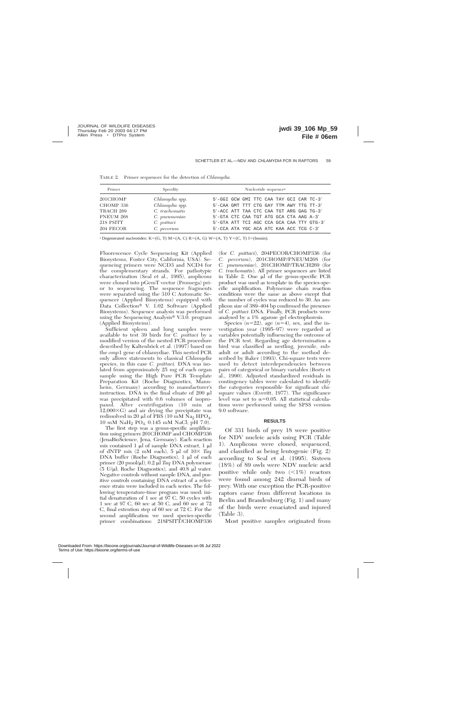| Primer                 | Specifity                                  | Nucleotide sequence <sup>a</sup>                                                     |
|------------------------|--------------------------------------------|--------------------------------------------------------------------------------------|
| 201CHOMP<br>CHOMP 336  | Chlamydia spp.<br>Chlamydia spp.           | 5'-GGI GCW GMI TTC CAA TAY GCI CAR TC-3'<br>5'-CAA GMT TTT CTG GAY TTM AWY TTG TT-3' |
| TRACH 269<br>PNEUM 268 | C. trachomatis                             | 5'-ACC ATT TAA CTC CAA TGT ARG GAG TG-3'<br>5'-GTA CTC CAA TGT ATG GCA CTA AAG A-3'  |
| 218 PSITT<br>204 PECOR | C. pneumoniae<br>C. psittaci<br>C. pecorum | 5'-GTA ATT TCI AGC CCA GCA CAA TTY GTG-3'<br>5'-CCA ATA YGC ACA ATC KAA ACC TCG C-3' |

TABLE 2. Primer sequences for the detection of *Chlamydia.*

<sup>a</sup> Degenerated nucleotides: K=(G, T) M=(A, C) R=(A, G) W=(A, T) Y=(C, T) I=(Inosin).

Fluorescence Cycle Sequencing Kit (Applied Biosystems, Foster City, California, USA). Sequencing primers were NCD3 and NCD4 for the complementary strands. For pathotypic characterization (Seal et al., 1995), amplicons were cloned into pGemT vector (Promega) prior to sequencing. The sequence fragments were separated using the 310 C Automatic Sequencer (Applied Biosystems) equipped with Data Collection<sup>®</sup> V. 1.02 Software (Applied Biosystems). Sequence analysis was performed using the Sequencing Analysis® V.3.0. program (Applied Biosystems).

Sufficient spleen and lung samples were available to test 39 birds for *C. psittaci* by a modified version of the nested PCR procedure described by Kaltenböck et al. (1997) based on the *omp*1 gene of chlamydiae. This nested PCR only allows statements to classical *Chlamydia* species, in this case *C. psittaci.* DNA was isolated from approximately 25 mg of each organ sample using the High Pure PCR Template Preparation Kit (Roche Diagnostics, Mannheim, Germany) according to manufacturer's instruction. DNA in the final eluate of 200  $\mu$ l was precipitated with 0.6 volumes of isopropanol. After centrifugation (10 min at  $12,000\times G$  and air drying the precipitate was redissolved in 20  $\mu$ l of PBS (10 mM Na<sub>2</sub> HPO<sub>4</sub>, 10 mM NaH2 PO4, 0.145 mM NaCl; pH 7.0).

The first step was a genus-specific amplification using primers 201CHOMP and CHOMP336 (JenaBioScience, Jena, Germany). Each reaction mix contained  $1 \mu l$  of sample DNA extract,  $1 \mu l$ of dNTP mix  $(2 \text{ mM each})$ , 5  $\mu$ l of  $10 \times Tag$ DNA buffer (Roche Diagnostics), 1 µl of each primer (20 pmol/µl), 0.2 µl *Taq* DNA polymerase (5 U/ $\mu$ l; Roche Diagnostics), and 40.8  $\mu$ l water. Negative controls without sample DNA, and positive controls containing DNA extract of a reference strain were included in each series. The following temperature-time program was used: initial denaturation of 1 sec at 97 C, 50 cycles with 1 sec at 97 C, 60 sec at 50 C, and 60 sec at 72 C, final extention step of 60 sec at 72 C. For the second amplification we used species-specific primer combinations: 218PSITT/CHOMP336

(for *C. psittaci*), 204PECOR/CHOMP336 (for *C. pecorum*), 201CHOMP/PNEUM268 (for *C. pneumoniae*), 201CHOMP/TRACH269 (for *C. trachomatis*). All primer sequences are listed in Table 2. One  $\mu$ l of the genus-specific PCR product was used as template in the species-specific amplification. Polymerase chain reaction conditions were the same as above except that the number of cycles was reduced to 30. An amplicon size of 389–404 bp confirmed the presence of *C. psittaci* DNA. Finally, PCR products were analysed by a 1% agarose gel electrophoresis.

Species  $(n=22)$ , age  $(n=4)$ , sex, and the investigation year (1995–97) were regarded as variables potentially influencing the outcome of the PCR test. Regarding age determination a bird was classified as nestling, juvenile, subadult or adult according to the method described by Baker (1993). Chi-square tests were used to detect interdependencies between pairs of categorical or binary variables (Bortz et al., 1990). Adjusted standardized residuals in contingency tables were calculated to identify the categories responsible for significant chisquare values (Everitt, 1977). The significance level was set to  $\alpha=0.05$ . All statistical calculations were performed using the SPSS version 9.0 software.

#### **RESULTS**

Of 331 birds of prey 18 were positive for NDV nucleic acids using PCR (Table 1). Amplicons were cloned, sequenced, and classified as being lentogenic (Fig. 2) according to Seal et al. (1995). Sixteen (18%) of 89 owls were NDV nucleic acid positive while only two  $\langle \leq 1\% \rangle$  reactors were found among 242 diurnal birds of prey. With one exception the PCR-positive raptors came from different locations in Berlin and Brandenburg (Fig. 1) and many of the birds were emaciated and injured (Table 3).

Most positive samples originated from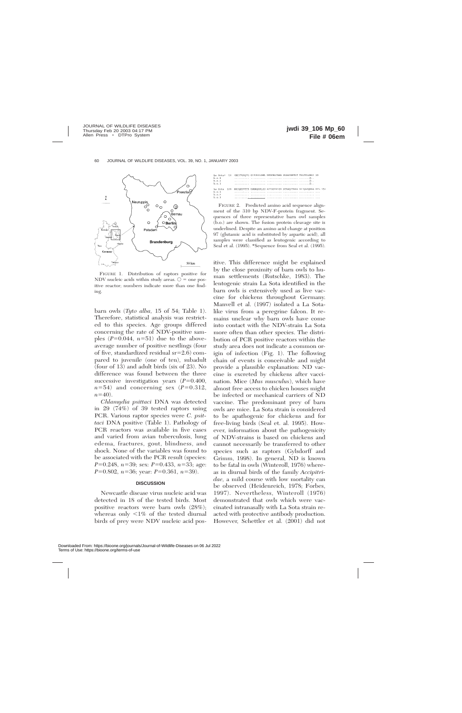

FIGURE 1. Distribution of raptors positive for NDV nucleic acids within study areas.  $\circ$  = one positive reactor; numbers indicate more than one finding.

barn owls (*Tyto alba,* 15 of 54; Table 1). Therefore, statistical analysis was restricted to this species. Age groups differed concerning the rate of NDV-positive samples  $(P=0.044, n=51)$  due to the aboveaverage number of positive nestlings (four of five, standardized residual  $sr=2.6$ ) compared to juvenile (one of ten), subadult (four of 13) and adult birds (six of 23). No difference was found between the three successive investigation years  $(P=0.400,$  $n=54$ ) and concerning sex ( $P=0.312$ ,  $n=40$ ).

*Chlamydia psittaci* DNA was detected in 29 (74%) of 39 tested raptors using PCR. Various raptor species were *C. psittaci* DNA positive (Table 1). Pathology of PCR reactors was available in five cases and varied from avian tuberculosis, lung edema, fractures, gout, blindness, and shock. None of the variables was found to be associated with the PCR result (species: *P*=0.248, *n*=39; sex: *P*=0.433, *n*=33; age: *P*=0.802, *n*=36; year: *P*=0.361, *n*=39).

#### **DISCUSSION**

Newcastle disease virus nucleic acid was detected in 18 of the tested birds. Most positive reactors were barn owls (28%); whereas only  $\langle 1\%$  of the tested diurnal birds of prey were NDV nucleic acid pos-

|         |  | La Sota* 50 VNIYTSSQTG SIJVKLLPNL PKDKEACAKA PLDAYNRTLT TLLTPLGESI 99 |  |  |
|---------|--|-----------------------------------------------------------------------|--|--|
| h.0.1   |  |                                                                       |  |  |
| b.0.2   |  |                                                                       |  |  |
| b.0.3   |  |                                                                       |  |  |
|         |  |                                                                       |  |  |
| La Sota |  | 100 RRIOESVTTS GGGROGRLIG AJTGGVALGV ATAAOJTAAA ALIOAKONAA NIL 152    |  |  |
| h.0.1   |  |                                                                       |  |  |
| b.0.2   |  |                                                                       |  |  |
| h, o, 3 |  |                                                                       |  |  |

FIGURE 2. Predicted amino acid sequence alignment of the 310 bp NDV-F-protein fragment. Sequences of three representative barn owl samples (b.o.) are shown. The fusion protein cleavage site is underlined. Despite an amino acid change at position 97 (glutamic acid is substituted by aspartic acid), all samples were classified as lentogenic according to Seal et al. (1995). \*Sequence from Seal et al. (1995).

itive. This difference might be explained by the close proximity of barn owls to human settlements (Rutschke, 1983). The lentogenic strain La Sota identified in the barn owls is extensively used as live vaccine for chickens throughout Germany. Manvell et al. (1997) isolated a La Sotalike virus from a peregrine falcon. It remains unclear why barn owls have come into contact with the NDV-strain La Sota more often than other species. The distribution of PCR positive reactors within the study area does not indicate a common origin of infection (Fig. 1). The following chain of events is conceivable and might provide a plausible explanation: ND vaccine is excreted by chickens after vaccination. Mice (*Mus musculus*), which have almost free access to chicken houses might be infected or mechanical carriers of ND vaccine. The predominant prey of barn owls are mice. La Sota strain is considered to be apathogenic for chickens and for free-living birds (Seal et. al. 1995). However, information about the pathogenicity of NDV-strains is based on chickens and cannot necessarily be transferred to other species such as raptors (Gylsdorff and Grimm, 1998). In general, ND is known to be fatal in owls (Winteroll, 1976) whereas in diurnal birds of the family *Accipitridae,* a mild course with low mortality can be observed (Heidenreich, 1978; Forbes, 1997). Nevertheless, Winteroll (1976) demonstrated that owls which were vaccinated intranasally with La Sota strain reacted with protective antibody production. However, Schettler et al. (2001) did not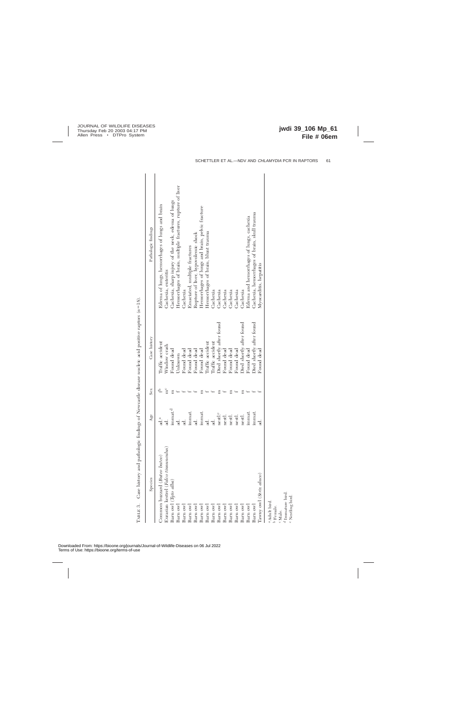| Species                                | Age                 | Sex            | Case history             | Pathologic findings                                        |
|----------------------------------------|---------------------|----------------|--------------------------|------------------------------------------------------------|
| Common buzzard (Buteo buteo)           | ad.ª                |                | Traffic accident         | Edema of lungs, hemorrhages of lungs and brain             |
| Eurasian kestrel (Falco tinnunculus)   | ್ದ                  | m <sup>c</sup> | Window crash             | Cachexia, enteritis                                        |
| Barn owl (Tyto alba)                   | immat. <sup>d</sup> |                | Found dead               | Cachexia, sharp injury of the neck, edema of lungs         |
| Barn owl                               | d.                  |                | $Jn$ known               | Hemorrhages of brain, multiple fractures, rupture of liver |
| Barn owl                               | ್ದ                  |                | Found dead               | Cachexia                                                   |
| Barn ow                                | immat.              |                | Found dead               | Emaciated, multiple fractures                              |
| Barn ow                                | $\vec{a}$           |                | Found dead               | Rupture of liver, hypovolemic shock                        |
| Barn ow                                | immat.              |                | Found dead               | Hemorrhages of lungs and brain, pelvic fracture            |
| Barn ow                                | ್ದ                  |                | Iraffic accident         | Hemorrhages of brain, blunt trauma                         |
| Barn ow                                | ್ಡ                  |                | Iraffic accident         | Cachexia                                                   |
| Barn ow                                | nestl. <sup>e</sup> |                | Died shortly after found | Cachexia                                                   |
| Barn ow                                | nestl.              |                | Found dead               | Cachexia                                                   |
| Barn owl                               | nestl.              |                | Found dead               | Cachexia                                                   |
| Barn owl                               | nestl.              |                | Found dead               | Cachexia                                                   |
| Barn owl                               | nestl.              |                | Died shortly after found | Cachexia                                                   |
| Barn owl                               | immat               |                | Found dead               | Edema and hemorrhages of lungs, cachexia                   |
| Barn owl                               | immat.              |                | Died shortly after found | Cachexia, hemorrhages of brain, skull trauma               |
| Tawny owl (Strix aluco)                | ಕ್ಷ                 |                | Found dead               | Myocarditis, hepatitis                                     |
| a Adult bird.<br>b Female.             |                     |                |                          |                                                            |
| <sup>c</sup> Male.                     |                     |                |                          |                                                            |
| d Immature bird.<br>e Niocelisco bisol |                     |                |                          |                                                            |

TABLE 3. Case history and pathologic findings of Newcastle disease nucleic acid positive raptors (n=18). TABLE 3. Case history and pathologic findings of Newcastle disease nucleic acid positive raptors (*n*518).

 Immature bird. Nestling bird.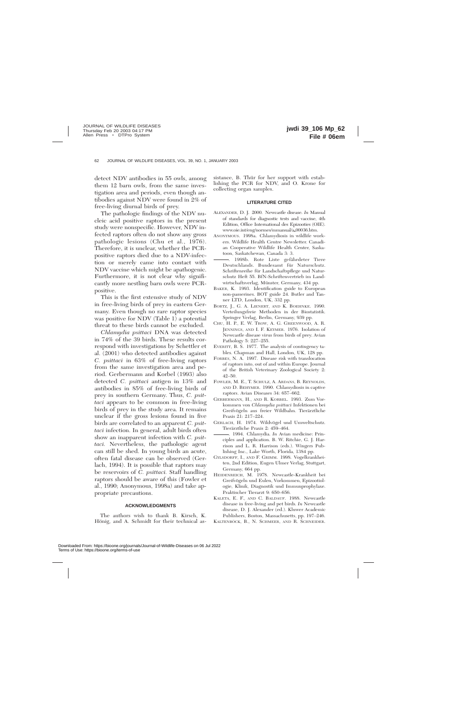detect NDV antibodies in 55 owls, among them 12 barn owls, from the same investigation area and periods, even though antibodies against NDV were found in 2% of free-living diurnal birds of prey.

The pathologic findings of the NDV nucleic acid positive raptors in the present study were nonspecific. However, NDV infected raptors often do not show any gross pathologic lesions (Chu et al., 1976). Therefore, it is unclear, whether the PCRpositive raptors died due to a NDV-infection or merely came into contact with NDV vaccine which might be apathogenic. Furthermore, it is not clear why significantly more nestling barn owls were PCRpositive.

This is the first extensive study of NDV in free-living birds of prey in eastern Germany. Even though no rare raptor species was positive for NDV (Table 1) a potential threat to these birds cannot be excluded.

*Chlamydia psittaci* DNA was detected in 74% of the 39 birds. These results correspond with investigations by Schettler et al. (2001) who detected antibodies against *C. psittaci* in 63% of free-living raptors from the same investigation area and period. Gerbermann and Korbel (1993) also detected *C. psittaci* antigen in 13% and antibodies in 85% of free-living birds of prey in southern Germany. Thus, *C. psittaci* appears to be common in free-living birds of prey in the study area. It remains unclear if the gross lesions found in five birds are correlated to an apparent *C. psittaci* infection. In general, adult birds often show an inapparent infection with *C. psittaci.* Nevertheless, the pathologic agent can still be shed. In young birds an acute, often fatal disease can be observed (Gerlach, 1994). It is possible that raptors may be reservoirs of *C. psittaci.* Staff handling raptors should be aware of this (Fowler et al., 1990; Anonymous, 1998a) and take appropriate precautions.

## **ACKNOWLEDGMENTS**

The authors wish to thank B. Kirsch, K. Hönig, and A. Schmidt for their technical as-

sistance, B. Thür for her support with establishing the PCR for NDV, and O. Krone for collecting organ samples.

## **LITERATURE CITED**

- ALEXANDER, D. J. 2000. Newcastle disease. *In* Manual of standards for diagnostic tests and vaccine, 4th Edition, Office International des Epizooties (OIE). www.oie.int/eng/normes/mmanual/a\_00036.htm.
- ANONYMOUS. 1998a. Chlamydiosis in wildlife workers. Wildlife Health Centre Newsletter. Canadian Cooperative Wildlife Health Center, Saskatoon, Saskatchewan, Canada 3: 3.
- -. 1998b. Rote Liste gefährdeter Tiere Deutschlands. Bundesamt für Naturschutz. Schriftenreihe für Landschaftspflege und Naturschutz Heft 55. BfN-Schriftenvertrieb im Landwirtschaftsverlag, Münster, Germany, 434 pp.
- BAKER, K. 1993. Identification guide to European non-passerines. BOT guide 24. Butler and Tanner LTD, London, UK, 332 pp.
- BORTZ, J., G. A. LIENERT, AND K. BOEHNKE. 1990. Verteilungsfreie Methoden in der Biostatistik. Springer Verlag, Berlin, Germany, 939 pp.
- CHU, H. P., E. W. TROW, A. G. GREENWOOD, A. R. JENNINGS, AND I. F. KEYMER. 1976. Isolation of Newcastle disease virus from birds of prey. Avian Pathology 5: 227–255.
- EVERITT, B. S. 1977. The analysis of contingency tables. Chapman and Hall, London, UK, 128 pp.
- FORBES, N. A. 1997. Disease risk with translocation of raptors into, out of and within Europe. Journal of the British Veterinary Zoological Society 2: 42–50.
- FOWLER, M. E., T. SCHULZ, A. ARDANS, B. REYNOLDS, AND D. BEHYMER. 1990. Chlamydiosis in captive raptors. Avian Diseases 34: 657–662.
- GERBERMANN, H., AND R. KORBEL. 1993. Zum Vorkommen von *Chlamydia psittaci* Infektionen bei Greifvögeln aus freier Wildbahn. Tierärztliche Praxis 21: 217–224.
- GERLACH, H. 1974. Wildvögel und Umweltschutz. Tierärztliche Praxis 2: 459–464.
- . 1994. Chlamydia. *In* Avian medicine: Principles and application. B. W. Ritchie, G. J. Harrison and L. R. Harrison (eds.). Wingers Publishing Inc., Lake Worth, Florida, 1384 pp.
- GYLSDORFF, I., AND F. GRIMM. 1998. Vogelkrankheiten, 2nd Edition, Eugen Ulmer Verlag, Stuttgart, Germany, 664 pp.
- HEIDENREICH, M. 1978. Newcastle-Krankheit bei Greifvögeln und Eulen, Vorkommen, Epizootiologie, Klinik, Diagnostik und Immunprophylaxe. Praktischer Tierarzt 9: 650–656.
- KALETA, E. F., AND C. BALDAUF. 1988. Newcastle disease in free-living and pet birds. *In* Newcastle disease, D. J. Alexander (ed.). Kluwer Academic Publishers, Boston, Massachusetts, pp. 197–246.
- KALTENBÖCK, B., N. SCHMEER, AND R. SCHNEIDER.